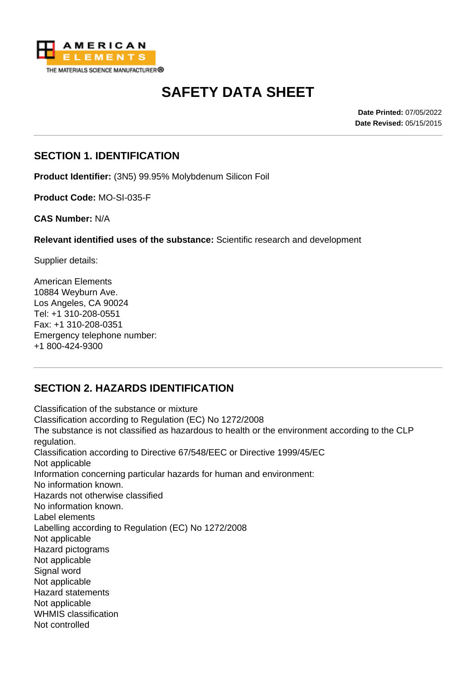

# **SAFETY DATA SHEET**

**Date Printed:** 07/05/2022 **Date Revised:** 05/15/2015

#### **SECTION 1. IDENTIFICATION**

**Product Identifier:** (3N5) 99.95% Molybdenum Silicon Foil

**Product Code:** MO-SI-035-F

**CAS Number:** N/A

**Relevant identified uses of the substance:** Scientific research and development

Supplier details:

American Elements 10884 Weyburn Ave. Los Angeles, CA 90024 Tel: +1 310-208-0551 Fax: +1 310-208-0351 Emergency telephone number: +1 800-424-9300

# **SECTION 2. HAZARDS IDENTIFICATION**

Classification of the substance or mixture Classification according to Regulation (EC) No 1272/2008 The substance is not classified as hazardous to health or the environment according to the CLP regulation. Classification according to Directive 67/548/EEC or Directive 1999/45/EC Not applicable Information concerning particular hazards for human and environment: No information known. Hazards not otherwise classified No information known. Label elements Labelling according to Regulation (EC) No 1272/2008 Not applicable Hazard pictograms Not applicable Signal word Not applicable Hazard statements Not applicable WHMIS classification Not controlled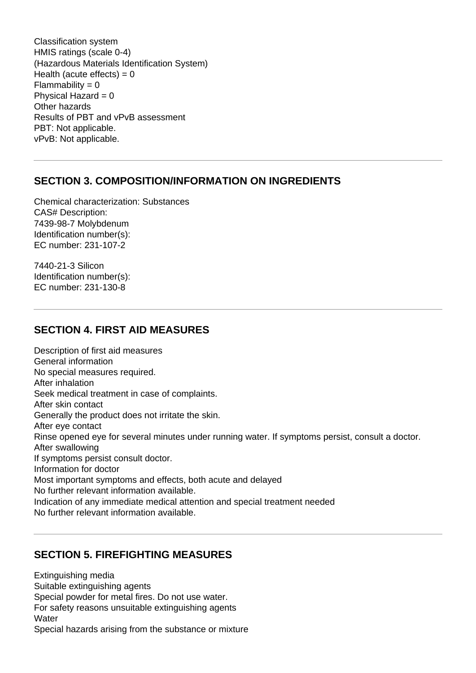Classification system HMIS ratings (scale 0-4) (Hazardous Materials Identification System) Health (acute effects) =  $0$  $Flammability = 0$ Physical Hazard  $= 0$ Other hazards Results of PBT and vPvB assessment PBT: Not applicable. vPvB: Not applicable.

#### **SECTION 3. COMPOSITION/INFORMATION ON INGREDIENTS**

Chemical characterization: Substances CAS# Description: 7439-98-7 Molybdenum Identification number(s): EC number: 231-107-2

7440-21-3 Silicon Identification number(s): EC number: 231-130-8

#### **SECTION 4. FIRST AID MEASURES**

Description of first aid measures General information No special measures required. After inhalation Seek medical treatment in case of complaints. After skin contact Generally the product does not irritate the skin. After eye contact Rinse opened eye for several minutes under running water. If symptoms persist, consult a doctor. After swallowing If symptoms persist consult doctor. Information for doctor Most important symptoms and effects, both acute and delayed No further relevant information available. Indication of any immediate medical attention and special treatment needed No further relevant information available.

# **SECTION 5. FIREFIGHTING MEASURES**

Extinguishing media Suitable extinguishing agents Special powder for metal fires. Do not use water. For safety reasons unsuitable extinguishing agents **Water** Special hazards arising from the substance or mixture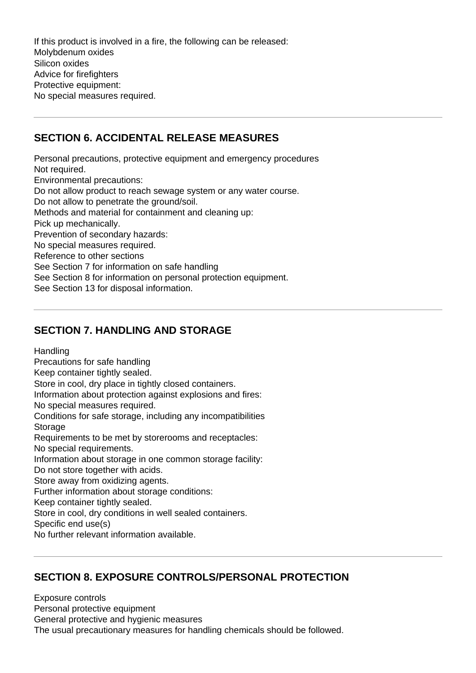If this product is involved in a fire, the following can be released: Molybdenum oxides Silicon oxides Advice for firefighters Protective equipment: No special measures required.

#### **SECTION 6. ACCIDENTAL RELEASE MEASURES**

Personal precautions, protective equipment and emergency procedures Not required. Environmental precautions: Do not allow product to reach sewage system or any water course. Do not allow to penetrate the ground/soil. Methods and material for containment and cleaning up: Pick up mechanically. Prevention of secondary hazards: No special measures required. Reference to other sections See Section 7 for information on safe handling See Section 8 for information on personal protection equipment. See Section 13 for disposal information.

#### **SECTION 7. HANDLING AND STORAGE**

**Handling** 

Precautions for safe handling Keep container tightly sealed. Store in cool, dry place in tightly closed containers. Information about protection against explosions and fires: No special measures required. Conditions for safe storage, including any incompatibilities **Storage** Requirements to be met by storerooms and receptacles: No special requirements. Information about storage in one common storage facility: Do not store together with acids. Store away from oxidizing agents. Further information about storage conditions: Keep container tightly sealed. Store in cool, dry conditions in well sealed containers. Specific end use(s) No further relevant information available.

# **SECTION 8. EXPOSURE CONTROLS/PERSONAL PROTECTION**

Exposure controls Personal protective equipment General protective and hygienic measures The usual precautionary measures for handling chemicals should be followed.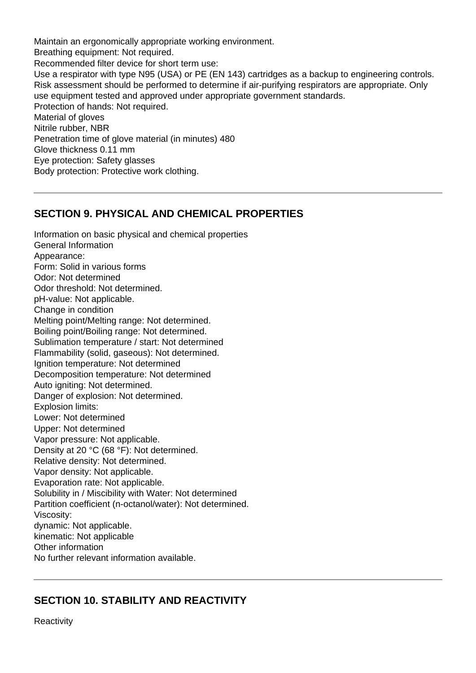Maintain an ergonomically appropriate working environment. Breathing equipment: Not required. Recommended filter device for short term use: Use a respirator with type N95 (USA) or PE (EN 143) cartridges as a backup to engineering controls. Risk assessment should be performed to determine if air-purifying respirators are appropriate. Only use equipment tested and approved under appropriate government standards. Protection of hands: Not required. Material of gloves Nitrile rubber, NBR Penetration time of glove material (in minutes) 480 Glove thickness 0.11 mm Eye protection: Safety glasses Body protection: Protective work clothing.

#### **SECTION 9. PHYSICAL AND CHEMICAL PROPERTIES**

Information on basic physical and chemical properties General Information Appearance: Form: Solid in various forms Odor: Not determined Odor threshold: Not determined. pH-value: Not applicable. Change in condition Melting point/Melting range: Not determined. Boiling point/Boiling range: Not determined. Sublimation temperature / start: Not determined Flammability (solid, gaseous): Not determined. Ignition temperature: Not determined Decomposition temperature: Not determined Auto igniting: Not determined. Danger of explosion: Not determined. Explosion limits: Lower: Not determined Upper: Not determined Vapor pressure: Not applicable. Density at 20 °C (68 °F): Not determined. Relative density: Not determined. Vapor density: Not applicable. Evaporation rate: Not applicable. Solubility in / Miscibility with Water: Not determined Partition coefficient (n-octanol/water): Not determined. Viscosity: dynamic: Not applicable. kinematic: Not applicable Other information No further relevant information available.

# **SECTION 10. STABILITY AND REACTIVITY**

**Reactivity**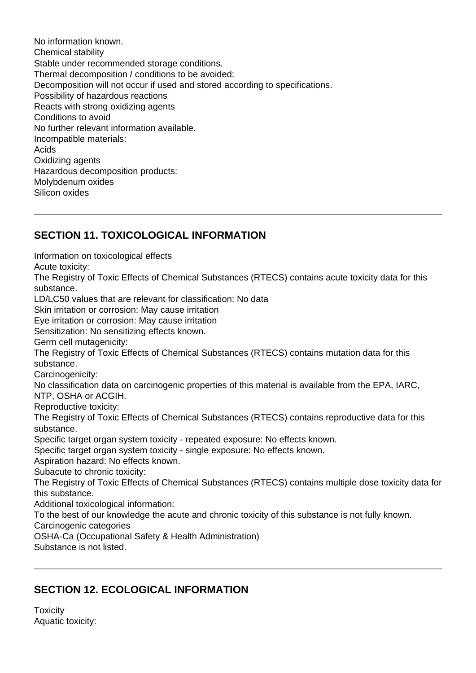No information known. Chemical stability Stable under recommended storage conditions. Thermal decomposition / conditions to be avoided: Decomposition will not occur if used and stored according to specifications. Possibility of hazardous reactions Reacts with strong oxidizing agents Conditions to avoid No further relevant information available. Incompatible materials: Acids Oxidizing agents Hazardous decomposition products: Molybdenum oxides Silicon oxides

# **SECTION 11. TOXICOLOGICAL INFORMATION**

Information on toxicological effects Acute toxicity: The Registry of Toxic Effects of Chemical Substances (RTECS) contains acute toxicity data for this substance. LD/LC50 values that are relevant for classification: No data Skin irritation or corrosion: May cause irritation Eye irritation or corrosion: May cause irritation Sensitization: No sensitizing effects known. Germ cell mutagenicity: The Registry of Toxic Effects of Chemical Substances (RTECS) contains mutation data for this substance. Carcinogenicity: No classification data on carcinogenic properties of this material is available from the EPA, IARC, NTP, OSHA or ACGIH. Reproductive toxicity: The Registry of Toxic Effects of Chemical Substances (RTECS) contains reproductive data for this substance. Specific target organ system toxicity - repeated exposure: No effects known. Specific target organ system toxicity - single exposure: No effects known. Aspiration hazard: No effects known. Subacute to chronic toxicity: The Registry of Toxic Effects of Chemical Substances (RTECS) contains multiple dose toxicity data for this substance. Additional toxicological information: To the best of our knowledge the acute and chronic toxicity of this substance is not fully known. Carcinogenic categories OSHA-Ca (Occupational Safety & Health Administration) Substance is not listed.

# **SECTION 12. ECOLOGICAL INFORMATION**

**Toxicity** Aquatic toxicity: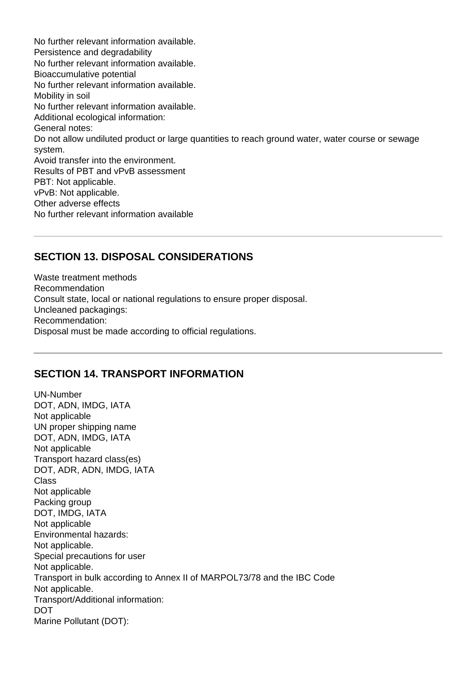No further relevant information available. Persistence and degradability No further relevant information available. Bioaccumulative potential No further relevant information available. Mobility in soil No further relevant information available. Additional ecological information: General notes: Do not allow undiluted product or large quantities to reach ground water, water course or sewage system. Avoid transfer into the environment. Results of PBT and vPvB assessment PBT: Not applicable. vPvB: Not applicable. Other adverse effects No further relevant information available

#### **SECTION 13. DISPOSAL CONSIDERATIONS**

Waste treatment methods Recommendation Consult state, local or national regulations to ensure proper disposal. Uncleaned packagings: Recommendation: Disposal must be made according to official regulations.

#### **SECTION 14. TRANSPORT INFORMATION**

UN-Number DOT, ADN, IMDG, IATA Not applicable UN proper shipping name DOT, ADN, IMDG, IATA Not applicable Transport hazard class(es) DOT, ADR, ADN, IMDG, IATA Class Not applicable Packing group DOT, IMDG, IATA Not applicable Environmental hazards: Not applicable. Special precautions for user Not applicable. Transport in bulk according to Annex II of MARPOL73/78 and the IBC Code Not applicable. Transport/Additional information: DOT Marine Pollutant (DOT):